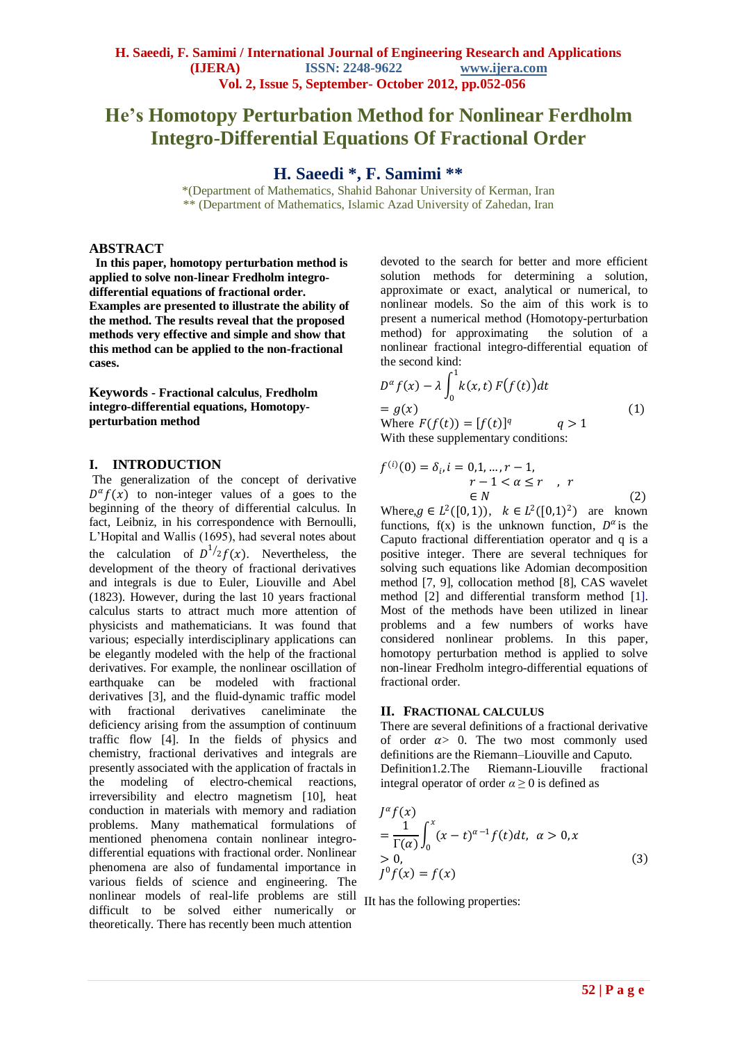# **He's Homotopy Perturbation Method for Nonlinear Ferdholm Integro-Differential Equations Of Fractional Order**

## **H. Saeedi \*, F. Samimi \*\***

\*(Department of Mathematics, Shahid Bahonar University of Kerman, Iran \*\* (Department of Mathematics, Islamic Azad University of Zahedan, Iran

## **ABSTRACT**

 **In this paper, homotopy perturbation method is applied to solve non-linear Fredholm integrodifferential equations of fractional order. Examples are presented to illustrate the ability of the method. The results reveal that the proposed methods very effective and simple and show that this method can be applied to the non-fractional cases.**

**Keywords - Fractional calculus**, **Fredholm integro-differential equations, Homotopyperturbation method**

## **I. INTRODUCTION**

The generalization of the concept of derivative  $D^{\alpha} f(x)$  to non-integer values of a goes to the beginning of the theory of differential calculus. In fact, Leibniz, in his correspondence with Bernoulli, L'Hopital and Wallis (1695), had several notes about the calculation of  $D^{1/2}f(x)$ . Nevertheless, the development of the theory of fractional derivatives and integrals is due to Euler, Liouville and Abel (1823). However, during the last 10 years fractional calculus starts to attract much more attention of physicists and mathematicians. It was found that various; especially interdisciplinary applications can be elegantly modeled with the help of the fractional derivatives. For example, the nonlinear oscillation of earthquake can be modeled with fractional derivatives [3], and the fluid-dynamic traffic model with fractional derivatives caneliminate the deficiency arising from the assumption of continuum traffic flow [4]. In the fields of physics and chemistry, fractional derivatives and integrals are presently associated with the application of fractals in the modeling of electro-chemical reactions, irreversibility and electro magnetism [10], heat conduction in materials with memory and radiation problems. Many mathematical formulations of mentioned phenomena contain nonlinear integrodifferential equations with fractional order. Nonlinear phenomena are also of fundamental importance in various fields of science and engineering. The nonlinear models of real-life problems are still IIt has the following properties: difficult to be solved either numerically or theoretically. There has recently been much attention

devoted to the search for better and more efficient solution methods for determining a solution, approximate or exact, analytical or numerical, to nonlinear models. So the aim of this work is to present a numerical method (Homotopy-perturbation method) for approximating the solution of a nonlinear fractional integro-differential equation of the second kind:

$$
D^{\alpha} f(x) - \lambda \int_0^1 k(x, t) F(f(t)) dt
$$
  
=  $g(x)$   
Where  $F(f(t)) = [f(t)]^q$   $q > 1$   
With these supplementary conditions: (1)

$$
f^{(i)}(0) = \delta_i, i = 0, 1, \dots, r - 1,
$$
  
\n
$$
r - 1 < \alpha \le r, r
$$
  
\n
$$
\in N
$$
\n(2)

Where,  $g \in L^2([0, 1))$ ,  $k \in L^2([0, 1)^2)$  are known functions,  $f(x)$  is the unknown function,  $D^{\alpha}$  is the Caputo fractional differentiation operator and q is a positive integer. There are several techniques for solving such equations like Adomian decomposition method [7, 9], collocation method [8], CAS wavelet method [2] and differential transform method [1]. Most of the methods have been utilized in linear problems and a few numbers of works have considered nonlinear problems. In this paper, homotopy perturbation method is applied to solve non-linear Fredholm integro-differential equations of fractional order.

## **II. FRACTIONAL CALCULUS**

There are several definitions of a fractional derivative of order  $\alpha > 0$ . The two most commonly used definitions are the Riemann–Liouville and Caputo. Definition1.2.The Riemann-Liouville fractional integral operator of order  $\alpha \geq 0$  is defined as

$$
J^{\alpha} f(x)
$$
  
=  $\frac{1}{\Gamma(\alpha)} \int_0^x (x - t)^{\alpha - 1} f(t) dt, \ \alpha > 0, x$   
> 0,  

$$
J^0 f(x) = f(x)
$$
 (3)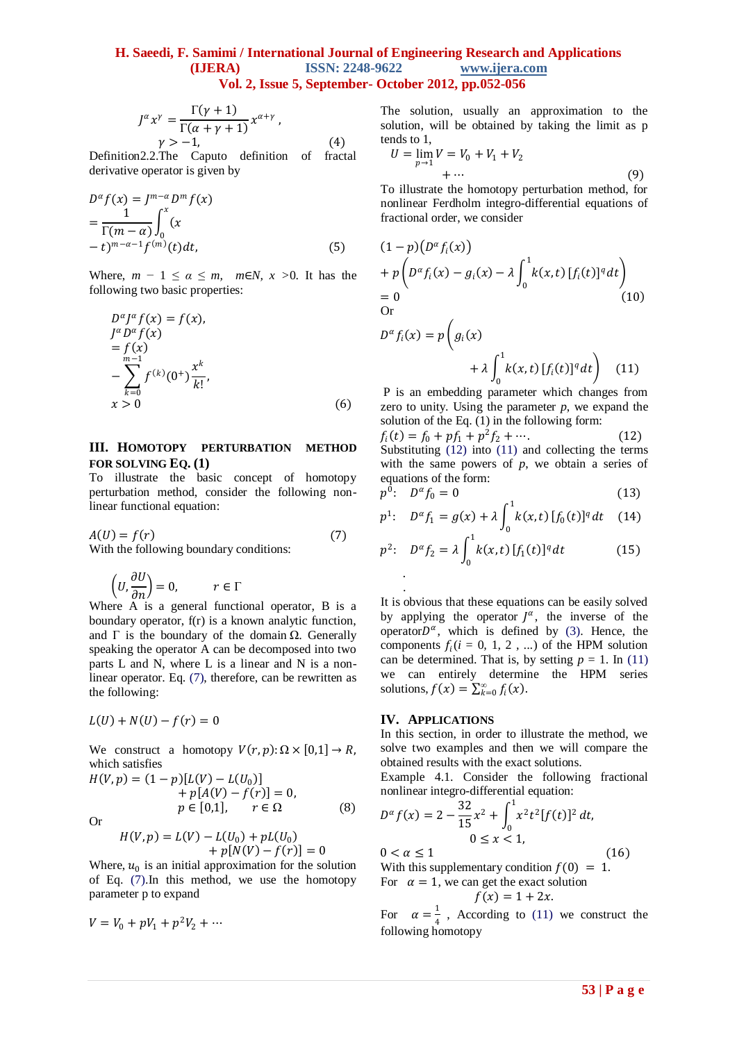## **H. Saeedi, F. Samimi / International Journal of Engineering Research and Applications (IJERA) ISSN: 2248-9622 www.ijera.com Vol. 2, Issue 5, September- October 2012, pp.052-056**

$$
J^{\alpha} x^{\gamma} = \frac{\Gamma(\gamma + 1)}{\Gamma(\alpha + \gamma + 1)} x^{\alpha + \gamma},
$$
  
 
$$
\gamma > -1,
$$
 (4)

Definition2.2.The Caputo definition of fractal derivative operator is given by

$$
D^{\alpha} f(x) = J^{m-\alpha} D^m f(x)
$$
  
= 
$$
\frac{1}{\Gamma(m-\alpha)} \int_0^x (x - t)^{m-\alpha-1} f^{(m)}(t) dt,
$$
 (5)

Where,  $m - 1 \le \alpha \le m$ ,  $m \in N$ ,  $x > 0$ . It has the following two basic properties:

$$
D^{\alpha} J^{\alpha} f(x) = f(x),
$$
  
\n
$$
J^{\alpha} D^{\alpha} f(x)
$$
  
\n
$$
= f(x)
$$
  
\n
$$
- \sum_{k=0}^{m-1} f^{(k)} (0^{+}) \frac{x^{k}}{k!},
$$
  
\n
$$
x > 0
$$
 (6)

#### **III. HOMOTOPY PERTURBATION METHOD FOR SOLVING EQ. (1)**

To illustrate the basic concept of homotopy perturbation method, consider the following nonlinear functional equation:

$$
A(U) = f(r)
$$
\nWith the following boundary conditions:

\n
$$
[7]
$$

With the following boundary conditions:

$$
\left(U,\frac{\partial U}{\partial n}\right)=0,\hspace{1cm}r\in\Gamma
$$

Where A is a general functional operator, B is a boundary operator, f(r) is a known analytic function, and  $\Gamma$  is the boundary of the domain  $\Omega$ . Generally speaking the operator A can be decomposed into two parts L and N, where L is a linear and N is a nonlinear operator. Eq. (7), therefore, can be rewritten as the following:

$$
L(U) + N(U) - f(r) = 0
$$

We construct a homotopy  $V(r, p): \Omega \times [0,1] \rightarrow R$ , which satisfies

$$
H(V, p) = (1-p)[L(V) - L(U_0)]+ p[A(V) - f(r)] = 0,p \in [0,1], \qquad r \in \Omega
$$
 (8)

Or

$$
H(V, p) = L(V) - L(U_0) + pL(U_0) + p[N(V) - f(r)] = 0
$$

Where,  $u_0$  is an initial approximation for the solution of Eq. (7).In this method, we use the homotopy parameter p to expand

$$
V = V_0 + pV_1 + p^2V_2 + \cdots
$$

The solution, usually an approximation to the solution, will be obtained by taking the limit as p tends to 1,

$$
U = \lim_{p \to 1} V = V_0 + V_1 + V_2
$$
  
+ ... (9)  
So illustrate the homotony perturbation method for

To illustrate the homotopy perturbation method, for nonlinear Ferdholm integro-differential equations of fractional order, we consider

$$
(1-p)(D^{\alpha} f_i(x))
$$
  
+  $p\left(D^{\alpha} f_i(x) - g_i(x) - \lambda \int_0^1 k(x,t) [f_i(t)]^q dt\right)$   
= 0 (10)  
Or

$$
D^{\alpha} f_i(x) = p \left( g_i(x) + \lambda \int_0^1 k(x, t) [f_i(t)]^q dt \right)
$$
 (11)

P is an embedding parameter which changes from zero to unity. Using the parameter  $p$ , we expand the solution of the Eq. (1) in the following form:

 $f_i(t) = f_0 + pf_1 + p^2 f_2 + \cdots$  (12) Substituting (12) into (11) and collecting the terms with the same powers of  $p$ , we obtain a series of equations of the form:

$$
p^0: \quad D^{\alpha} f_0 = 0 \tag{13}
$$

$$
p^{1}: D^{\alpha} f_{1} = g(x) + \lambda \int_{0}^{1} k(x, t) [f_{0}(t)]^{q} dt \quad (14)
$$

$$
p^2: \quad D^{\alpha} f_2 = \lambda \int_0^1 k(x, t) \, [f_1(t)]^q \, dt \tag{15}
$$

It is obvious that these equations can be easily solved by applying the operator  $J^{\alpha}$ , the inverse of the operator $D^{\alpha}$ , which is defined by (3). Hence, the components  $f_i(i = 0, 1, 2, ...)$  of the HPM solution can be determined. That is, by setting  $p = 1$ . In (11) we can entirely determine the HPM series solutions,  $f(x) = \sum_{k=0}^{\infty} f_i(x)$ .

#### **IV. APPLICATIONS**

.

In this section, in order to illustrate the method, we solve two examples and then we will compare the obtained results with the exact solutions.

Example 4.1. Consider the following fractional nonlinear integro-differential equation:

$$
D^{\alpha} f(x) = 2 - \frac{32}{15} x^2 + \int_0^1 x^2 t^2 [f(t)]^2 dt,
$$
  
0 \le x < 1,  
0 < \alpha \le 1 (16)

With this supplementary condition  $f(0) = 1$ . For  $\alpha = 1$ , we can get the exact solution

$$
f(x) = 1 + 2x.
$$

For  $\alpha = \frac{1}{4}$  $\frac{1}{4}$ , According to (11) we construct the following homotopy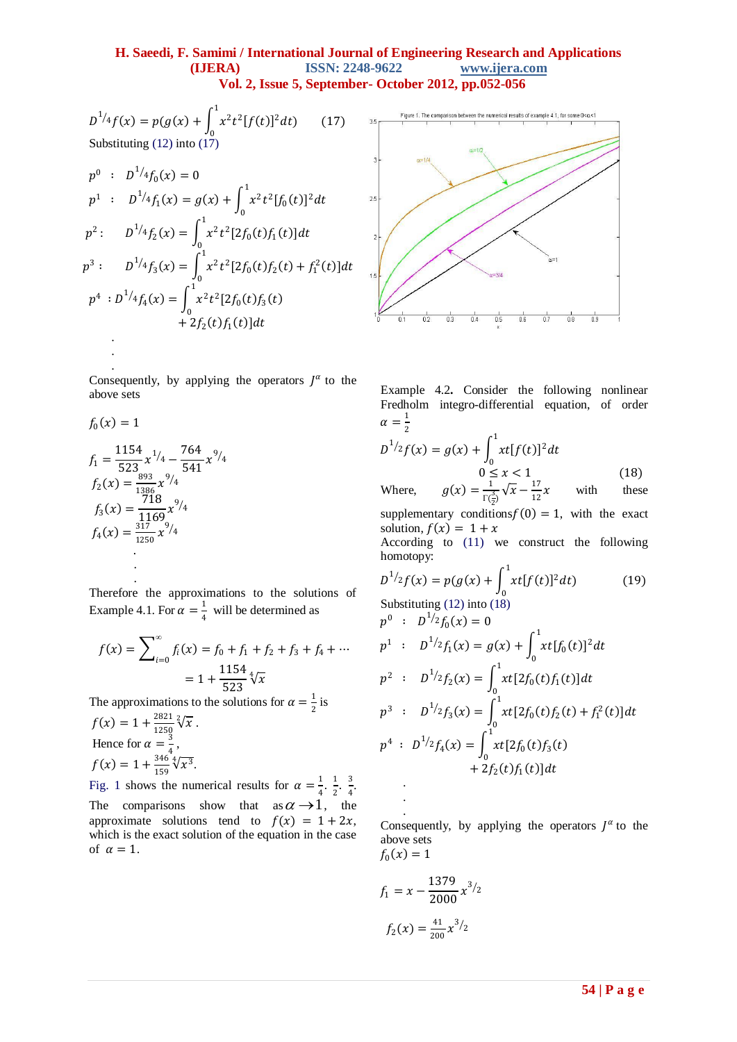## **H. Saeedi, F. Samimi / International Journal of Engineering Research and Applications (IJERA) ISSN: 2248-9622 www.ijera.com Vol. 2, Issue 5, September- October 2012, pp.052-056**

$$
D^{1/4}f(x) = p(g(x) + \int_0^1 x^2 t^2 [f(t)]^2 dt)
$$
 (17)  
Substituting (12) into (17)

$$
p^{0}: D^{1/4}f_{0}(x) = 0
$$
  
\n
$$
p^{1}: D^{1/4}f_{1}(x) = g(x) + \int_{0}^{1} x^{2}t^{2}[f_{0}(t)]^{2}dt
$$
  
\n
$$
p^{2}: D^{1/4}f_{2}(x) = \int_{0}^{1} x^{2}t^{2}[2f_{0}(t)f_{1}(t)]dt
$$
  
\n
$$
p^{3}: D^{1/4}f_{3}(x) = \int_{0}^{1} x^{2}t^{2}[2f_{0}(t)f_{2}(t) + f_{1}^{2}(t)]dt
$$
  
\n
$$
p^{4}: D^{1/4}f_{4}(x) = \int_{0}^{1} x^{2}t^{2}[2f_{0}(t)f_{3}(t) + 2f_{2}(t)f_{1}(t)]dt
$$

Consequently, by applying the operators  $J^{\alpha}$  to the above sets

$$
f_0(x) = 1
$$
  
\n
$$
f_1 = \frac{1154}{523} x^{1/4} - \frac{764}{541} x^{9/4}
$$
  
\n
$$
f_2(x) = \frac{893}{1386} x^{9/4}
$$
  
\n
$$
f_3(x) = \frac{718}{1169} x^{9/4}
$$
  
\n
$$
f_4(x) = \frac{317}{1250} x^{9/4}
$$

. .

. .

Therefore the approximations to the solutions of Example 4.1. For  $\alpha = \frac{1}{4}$  $\frac{1}{4}$  will be determined as

$$
f(x) = \sum_{i=0}^{\infty} f_i(x) = f_0 + f_1 + f_2 + f_3 + f_4 + \dots
$$

$$
= 1 + \frac{1154}{523} \sqrt[4]{x}
$$

The approximations to the solutions for  $\alpha = \frac{1}{2}$  $rac{1}{2}$  is

$$
f(x) = 1 + \frac{2821}{1250} \sqrt[2]{x}.
$$
  
Hence for  $\alpha = \frac{3}{4}$ ,  

$$
f(x) = 1 + \frac{346}{159} \sqrt[4]{x^3}.
$$

Fig. 1 shows the numerical results for  $\alpha = \frac{1}{4}$  $\frac{1}{4} \cdot \frac{1}{2}$  $\frac{1}{2}$   $\frac{3}{4}$  $\frac{3}{4}$ . The comparisons show that  $as \alpha \rightarrow 1$ , the approximate solutions tend to  $f(x) = 1 + 2x$ , which is the exact solution of the equation in the case of  $\alpha = 1$ .



Example 4.2**.** Consider the following nonlinear Fredholm integro-differential equation, of order  $\alpha = \frac{1}{2}$ 

$$
D^{1/2}f(x) = g(x) + \int_0^1 xt[f(t)]^2 dt
$$
  
0 \le x < 1  
17  
17

Where,  $g(x) = \frac{1}{16}$  $\frac{1}{\Gamma(\frac{3}{2})}\sqrt{x} - \frac{17}{12}$ 12 with these supplementary conditions  $f(0) = 1$ , with the exact solution,  $f(x) = 1 + x$ According to (11) we construct the following homotopy:

$$
D^{1/2}f(x) = p(g(x) + \int_0^1 xt[f(t)]^2 dt)
$$
 (19)  
Substituting (12) into (18)

$$
p^{0} : D^{1/2}f_{0}(x) = 0
$$
  
\n
$$
p^{1} : D^{1/2}f_{1}(x) = g(x) + \int_{0}^{1} xt[f_{0}(t)]^{2} dt
$$
  
\n
$$
p^{2} : D^{1/2}f_{2}(x) = \int_{0}^{1} xt[2f_{0}(t)f_{1}(t)] dt
$$
  
\n
$$
p^{3} : D^{1/2}f_{3}(x) = \int_{0}^{1} xt[2f_{0}(t)f_{2}(t) + f_{1}^{2}(t)] dt
$$
  
\n
$$
p^{4} : D^{1/2}f_{4}(x) = \int_{0}^{1} xt[2f_{0}(t)f_{3}(t) + 2f_{2}(t)f_{1}(t)] dt
$$

Consequently, by applying the operators  $J^{\alpha}$  to the above sets  $f_0(x) = 1$ 

$$
f_1 = x - \frac{1379}{2000} x
$$

 $\frac{3}{2}$ 

. .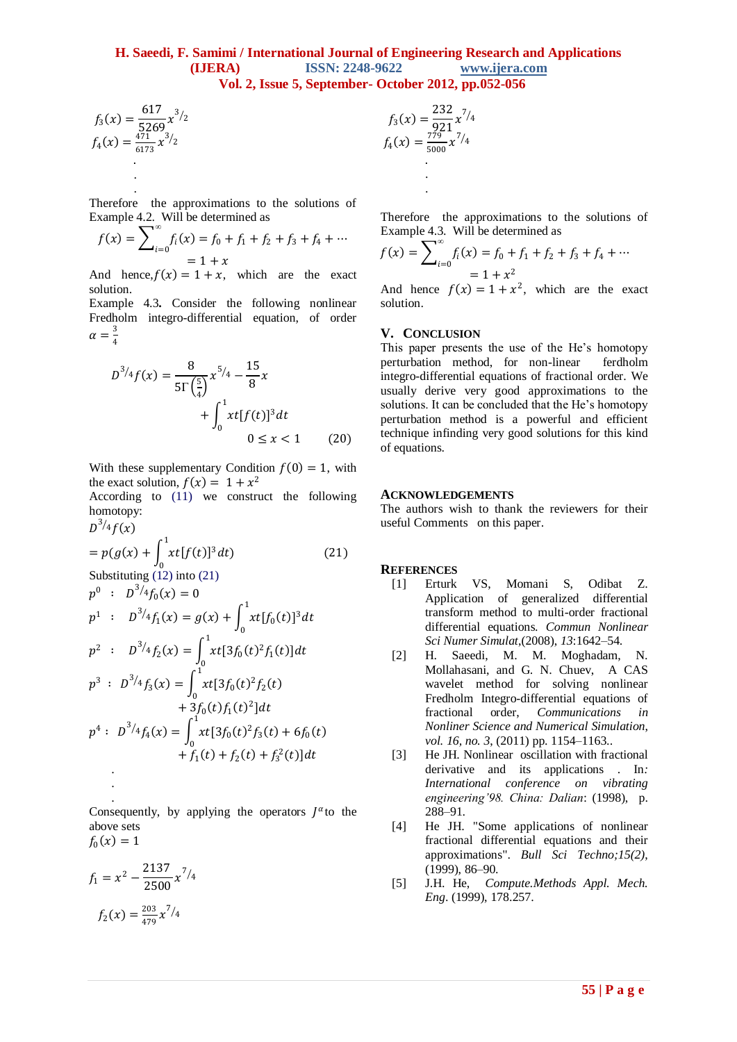### **H. Saeedi, F. Samimi / International Journal of Engineering Research and Applications (IJERA) ISSN: 2248-9622 www.ijera.com Vol. 2, Issue 5, September- October 2012, pp.052-056**

$$
f_3(x) = \frac{617}{5269} x^{3/2}
$$
  

$$
f_4(x) = \frac{471}{6173} x^{3/2}
$$

. .

Therefore the approximations to the solutions of Example 4.2. Will be determined as

$$
f(x) = \sum_{i=0}^{\infty} f_i(x) = f_0 + f_1 + f_2 + f_3 + f_4 + \dots
$$
  
= 1 + x

And hence,  $f(x) = 1 + x$ , which are the exact solution.

Example 4.3**.** Consider the following nonlinear Fredholm integro-differential equation, of order  $\alpha = \frac{3}{4}$ 4

$$
D^{3/4}f(x) = \frac{8}{5\Gamma(\frac{5}{4})}x^{5/4} - \frac{15}{8}x + \int_0^1 xt[f(t)]^3 dt + \int_0^1 xt[f(t)]^3 dt + 0 \le x < 1
$$
 (20)

With these supplementary Condition  $f(0) = 1$ , with the exact solution,  $f(x) = 1 + x^2$ 

According to (11) we construct the following homotopy:

$$
D^{3/4}f(x)
$$
\n
$$
= p(g(x) + \int_{0}^{1} xt[f(t)]^{3} dt)
$$
\n(21)\nSubstituting (12) into (21)\n
$$
p^{0}: D^{3/4}f_{0}(x) = 0
$$
\n
$$
p^{1}: D^{3/4}f_{1}(x) = g(x) + \int_{0}^{1} xt[f_{0}(t)]^{3} dt
$$
\n
$$
p^{2}: D^{3/4}f_{2}(x) = \int_{0}^{1} xt[3f_{0}(t)^{2}f_{1}(t)] dt
$$
\n
$$
p^{3}: D^{3/4}f_{3}(x) = \int_{0}^{1} xt[3f_{0}(t)^{2}f_{2}(t) + 3f_{0}(t)f_{1}(t)^{2}] dt
$$
\n
$$
p^{4}: D^{3/4}f_{4}(x) = \int_{0}^{1} xt[3f_{0}(t)^{2}f_{3}(t) + 6f_{0}(t) + f_{1}(t) + f_{2}(t) + f_{3}^{2}(t)] dt
$$

Consequently, by applying the operators  $J^{\alpha}$  to the above sets  $f_0(x) = 1$ 

$$
f_1 = x^2 - \frac{2137}{2500} x^{7/4}
$$

$$
f_2(x) = \frac{203}{479} x^{7/4}
$$

. .

$$
f_3(x) = \frac{232}{921}x^{7/4}
$$
  

$$
f_4(x) = \frac{779}{5000}x^{7/4}
$$

.

Therefore the approximations to the solutions of Example 4.3. Will be determined as

$$
f(x) = \sum_{i=0}^{\infty} f_i(x) = f_0 + f_1 + f_2 + f_3 + f_4 + \dots
$$
  
= 1 + x<sup>2</sup>

And hence  $f(x) = 1 + x^2$ , which are the exact solution.

#### **V. CONCLUSION**

This paper presents the use of the He's homotopy perturbation method, for non-linear ferdholm integro-differential equations of fractional order. We usually derive very good approximations to the solutions. It can be concluded that the He's homotopy perturbation method is a powerful and efficient technique infinding very good solutions for this kind of equations.

#### **ACKNOWLEDGEMENTS**

The authors wish to thank the reviewers for their useful Comments on this paper.

#### **REFERENCES**

- [1] Erturk VS, Momani S, Odibat Z. Application of generalized differential transform method to multi-order fractional differential equations. *Commun Nonlinear Sci Numer Simulat*,(2008), *13*:1642–54.
- [2] H. Saeedi, M. M. Moghadam, N. Mollahasani, and G. N. Chuev, A CAS wavelet method for solving nonlinear Fredholm Integro-differential equations of fractional order, *Communications in Nonliner Science and Numerical Simulation*, *vol. 16, no. 3*, (2011) pp. 1154–1163..
- [3] He JH. Nonlinear oscillation with fractional derivative and its applications . In*: International conference on vibrating engineering'98. China: Dalian*: (1998), p. 288–91.
- [4] He JH. "Some applications of nonlinear fractional differential equations and their approximations". *Bull Sci Techno;15(2)*, (1999), 86–90.
- [5] J.H. He, *Compute.Methods Appl. Mech. Eng*. (1999), 178.257.